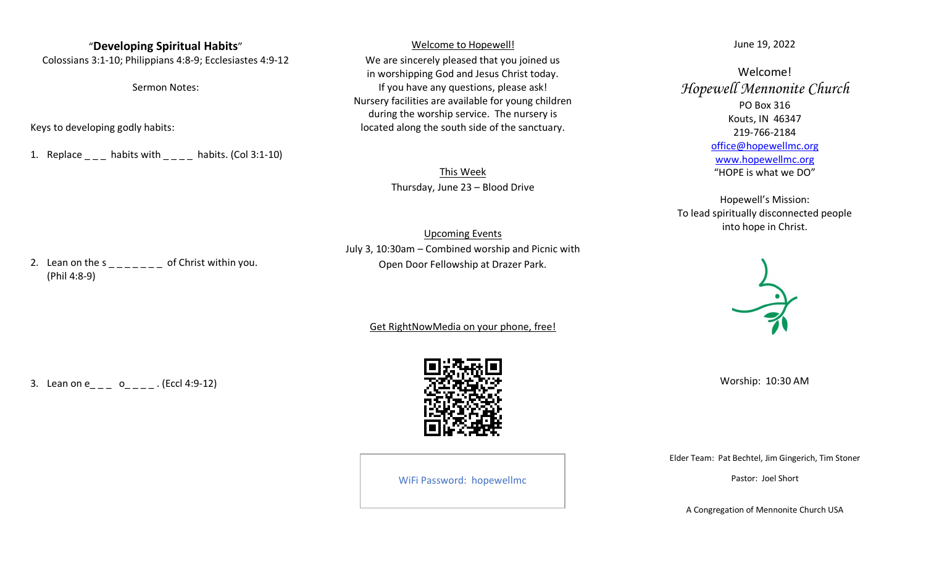#### "**Developing Spiritual Habits**"

Colossians 3:1-10; Philippians 4:8-9; Ecclesiastes 4:9-12

Sermon Notes:

Keys to developing godly habits:

1. Replace  $\blacksquare$  habits with  $\blacksquare$  habits. (Col 3:1-10)

Welcome to Hopewell!

We are sincerely pleased that you joined us in worshipping God and Jesus Christ today. If you have any questions, please ask! Nursery facilities are available for young children during the worship service. The nursery is located along the south side of the sanctuary.

> This Week Thursday, June 23 – Blood Drive

Upcoming Events July 3, 10:30am – Combined worship and Picnic with Open Door Fellowship at Drazer Park.

Get RightNowMedia on your phone, free!

3. Lean on  $e_{-} = 0$   $-$  . (Eccl 4:9-12)



WiFi Password: hopewellmc

June 19, 2022

Welcome! *Hopewell Mennonite Church* PO Box 316 Kouts, IN 46347 219-766-2184 [office@hopewellmc.org](mailto:office.hopewell@verizon.net) [www.hopewellmc.org](http://www.hopewellmc.org/) "HOPE is what we DO"

Hopewell's Mission: To lead spiritually disconnected people into hope in Christ.



Worship: 10:30 AM

Elder Team: Pat Bechtel, Jim Gingerich, Tim Stoner

Pastor: Joel Short

A Congregation of Mennonite Church USA

2. Lean on the  $s_{\text{max}} = 0$  of Christ within you. (Phil 4:8-9)